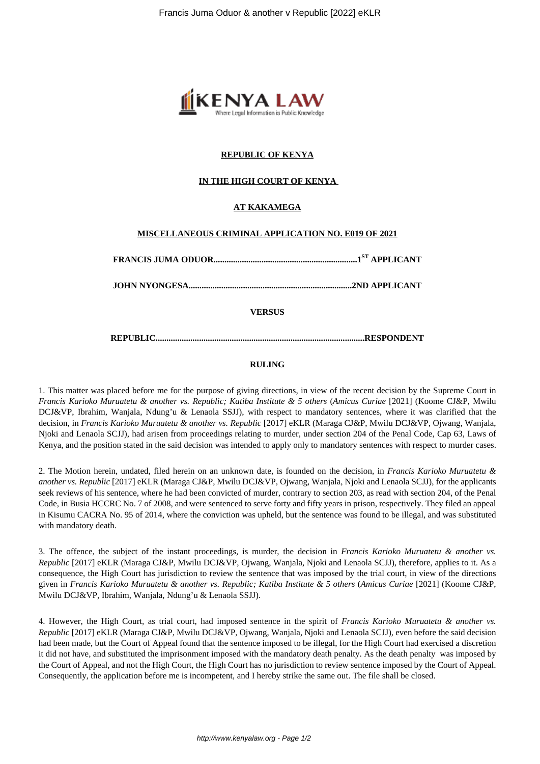

## **REPUBLIC OF KENYA**

## **IN THE HIGH COURT OF KENYA**

## **AT KAKAMEGA**

#### **MISCELLANEOUS CRIMINAL APPLICATION NO. E019 OF 2021**

|--|--|--|

**JOHN NYONGESA...........................................................................2ND APPLICANT**

**VERSUS**

**REPUBLIC................................................................................................RESPONDENT**

## **RULING**

1. This matter was placed before me for the purpose of giving directions, in view of the recent decision by the Supreme Court in *Francis Karioko Muruatetu & another vs. Republic; Katiba Institute & 5 others* (*Amicus Curiae* [2021] (Koome CJ&P, Mwilu DCJ&VP, Ibrahim, Wanjala, Ndung'u & Lenaola SSJJ), with respect to mandatory sentences, where it was clarified that the decision, in *Francis Karioko Muruatetu & another vs. Republic* [2017] eKLR (Maraga CJ&P, Mwilu DCJ&VP, Ojwang, Wanjala, Njoki and Lenaola SCJJ), had arisen from proceedings relating to murder, under section 204 of the Penal Code, Cap 63, Laws of Kenya, and the position stated in the said decision was intended to apply only to mandatory sentences with respect to murder cases.

2. The Motion herein, undated, filed herein on an unknown date, is founded on the decision, in *Francis Karioko Muruatetu & another vs. Republic* [2017] eKLR (Maraga CJ&P, Mwilu DCJ&VP, Ojwang, Wanjala, Njoki and Lenaola SCJJ), for the applicants seek reviews of his sentence, where he had been convicted of murder, contrary to section 203, as read with section 204, of the Penal Code, in Busia HCCRC No. 7 of 2008, and were sentenced to serve forty and fifty years in prison, respectively. They filed an appeal in Kisumu CACRA No. 95 of 2014, where the conviction was upheld, but the sentence was found to be illegal, and was substituted with mandatory death.

3. The offence, the subject of the instant proceedings, is murder, the decision in *Francis Karioko Muruatetu & another vs. Republic* [2017] eKLR (Maraga CJ&P, Mwilu DCJ&VP, Ojwang, Wanjala, Njoki and Lenaola SCJJ), therefore, applies to it. As a consequence, the High Court has jurisdiction to review the sentence that was imposed by the trial court, in view of the directions given in *Francis Karioko Muruatetu & another vs. Republic; Katiba Institute & 5 others* (*Amicus Curiae* [2021] (Koome CJ&P, Mwilu DCJ&VP, Ibrahim, Wanjala, Ndung'u & Lenaola SSJJ).

4. However, the High Court, as trial court, had imposed sentence in the spirit of *Francis Karioko Muruatetu & another vs. Republic* [2017] eKLR (Maraga CJ&P, Mwilu DCJ&VP, Ojwang, Wanjala, Njoki and Lenaola SCJJ), even before the said decision had been made, but the Court of Appeal found that the sentence imposed to be illegal, for the High Court had exercised a discretion it did not have, and substituted the imprisonment imposed with the mandatory death penalty. As the death penalty was imposed by the Court of Appeal, and not the High Court, the High Court has no jurisdiction to review sentence imposed by the Court of Appeal. Consequently, the application before me is incompetent, and I hereby strike the same out. The file shall be closed.